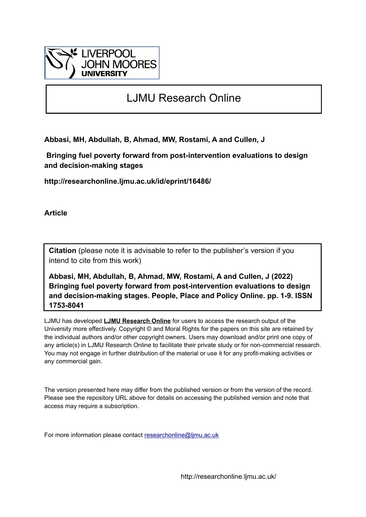

# LJMU Research Online

**Abbasi, MH, Abdullah, B, Ahmad, MW, Rostami, A and Cullen, J**

 **Bringing fuel poverty forward from post-intervention evaluations to design and decision-making stages**

**http://researchonline.ljmu.ac.uk/id/eprint/16486/**

**Article**

**Citation** (please note it is advisable to refer to the publisher's version if you intend to cite from this work)

**Abbasi, MH, Abdullah, B, Ahmad, MW, Rostami, A and Cullen, J (2022) Bringing fuel poverty forward from post-intervention evaluations to design and decision-making stages. People, Place and Policy Online. pp. 1-9. ISSN 1753-8041** 

LJMU has developed **[LJMU Research Online](http://researchonline.ljmu.ac.uk/)** for users to access the research output of the University more effectively. Copyright © and Moral Rights for the papers on this site are retained by the individual authors and/or other copyright owners. Users may download and/or print one copy of any article(s) in LJMU Research Online to facilitate their private study or for non-commercial research. You may not engage in further distribution of the material or use it for any profit-making activities or any commercial gain.

The version presented here may differ from the published version or from the version of the record. Please see the repository URL above for details on accessing the published version and note that access may require a subscription.

For more information please contact [researchonline@ljmu.ac.uk](mailto:researchonline@ljmu.ac.uk)

http://researchonline.ljmu.ac.uk/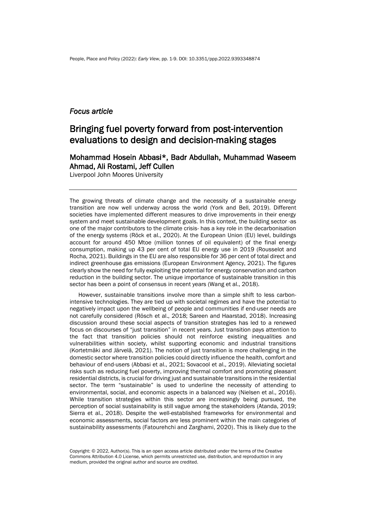## *Focus article*

## Bringing fuel poverty forward from post-intervention evaluations to design and decision-making stages

## Mohammad Hosein Abbasi\*, Badr Abdullah, Muhammad Waseem Ahmad, Ali Rostami, Jeff Cullen

Liverpool John Moores University

The growing threats of climate change and the necessity of a sustainable energy transition are now well underway across the world (York and Bell, 2019). Different societies have implemented different measures to drive improvements in their energy system and meet sustainable development goals. In this context, the building sector -as one of the major contributors to the climate crisis- has a key role in the decarbonisation of the energy systems (Röck et al., 2020). At the European Union (EU) level, buildings account for around 450 Mtoe (million tonnes of oil equivalent) of the final energy consumption, making up 43 per cent of total EU energy use in 2019 (Rousselot and Rocha, 2021). Buildings in the EU are also responsible for 36 per cent of total direct and indirect greenhouse gas emissions (European Environment Agency, 2021). The figures clearly show the need for fully exploiting the potential for energy conservation and carbon reduction in the building sector. The unique importance of sustainable transition in this sector has been a point of consensus in recent years (Wang et al., 2018).

However, sustainable transitions involve more than a simple shift to less carbonintensive technologies. They are tied up with societal regimes and have the potential to negatively impact upon the wellbeing of people and communities if end-user needs are not carefully considered (Rösch et al., 2018; Sareen and Haarstad, 2018). Increasing discussion around these social aspects of transition strategies has led to a renewed focus on discourses of "just transition" in recent years. Just transition pays attention to the fact that transition policies should not reinforce existing inequalities and vulnerabilities within society, whilst supporting economic and industrial transitions (Kortetmäki and Järvelä, 2021). The notion of just transition is more challenging in the domestic sector where transition policies could directly influence the health, comfort and behaviour of end-users (Abbasi et al., 2021; Sovacool et al., 2019). Alleviating societal risks such as reducing fuel poverty, improving thermal comfort and promoting pleasant residential districts, is crucial for driving just and sustainable transitions in the residential sector. The term "sustainable" is used to underline the necessity of attending to environmental, social, and economic aspects in a balanced way (Nielsen et al., 2016). While transition strategies within this sector are increasingly being pursued, the perception of social sustainability is still vague among the stakeholders (Atanda, 2019; Sierra et al., 2018). Despite the well-established frameworks for environmental and economic assessments, social factors are less prominent within the main categories of sustainability assessments (Fatourehchi and Zarghami, 2020). This is likely due to the

Copyright: © 2022, Author(s). This is an open access article distributed under the terms of the Creative Commons Attribution 4.0 License, which permits unrestricted use, distribution, and reproduction in any medium, provided the original author and source are credited.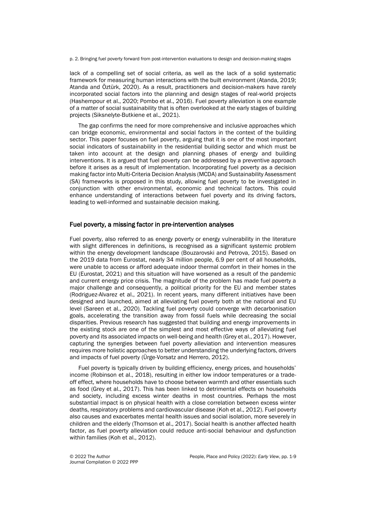p. 2. Bringing fuel poverty forward from post-intervention evaluations to design and decision-making stages

lack of a compelling set of social criteria, as well as the lack of a solid systematic framework for measuring human interactions with the built environment (Atanda, 2019; Atanda and Öztürk, 2020). As a result, practitioners and decision-makers have rarely incorporated social factors into the planning and design stages of real-world projects (Hashempour et al., 2020; Pombo et al., 2016). Fuel poverty alleviation is one example of a matter of social sustainability that is often overlooked at the early stages of building projects (Siksnelyte-Butkiene et al., 2021).

The gap confirms the need for more comprehensive and inclusive approaches which can bridge economic, environmental and social factors in the context of the building sector. This paper focuses on fuel poverty, arguing that it is one of the most important social indicators of sustainability in the residential building sector and which must be taken into account at the design and planning phases of energy and building interventions. It is argued that fuel poverty can be addressed by a preventive approach before it arises as a result of implementation. Incorporating fuel poverty as a decision making factor into Multi-Criteria Decision Analysis (MCDA) and Sustainability Assessment (SA) frameworks is proposed in this study, allowing fuel poverty to be investigated in conjunction with other environmental, economic and technical factors. This could enhance understanding of interactions between fuel poverty and its driving factors, leading to well-informed and sustainable decision making.

## Fuel poverty, a missing factor in pre-intervention analyses

Fuel poverty, also referred to as energy poverty or energy vulnerability in the literature with slight differences in definitions, is recognised as a significant systemic problem within the energy development landscape (Bouzarovski and Petrova, 2015). Based on the 2019 data from Eurostat, nearly 34 million people, 6.9 per cent of all households, were unable to access or afford adequate indoor thermal comfort in their homes in the EU (Eurostat, 2021) and this situation will have worsened as a result of the pandemic and current energy price crisis. The magnitude of the problem has made fuel poverty a major challenge and consequently, a political priority for the EU and member states (Rodriguez-Alvarez et al., 2021). In recent years, many different initiatives have been designed and launched, aimed at alleviating fuel poverty both at the national and EU level (Sareen et al., 2020). Tackling fuel poverty could converge with decarbonisation goals, accelerating the transition away from fossil fuels while decreasing the social disparities. Previous research has suggested that building and energy improvements in the existing stock are one of the simplest and most effective ways of alleviating fuel poverty and its associated impacts on well-being and health (Grey et al., 2017). However, capturing the synergies between fuel poverty alleviation and intervention measures requires more holistic approaches to better understanding the underlying factors, drivers and impacts of fuel poverty (Ürge-Vorsatz and Herrero, 2012).

Fuel poverty is typically driven by building efficiency, energy prices, and households' income (Robinson et al., 2018), resulting in either low indoor temperatures or a tradeoff effect, where households have to choose between warmth and other essentials such as food (Grey et al., 2017). This has been linked to detrimental effects on households and society, including excess winter deaths in most countries. Perhaps the most substantial impact is on physical health with a close correlation between excess winter deaths, respiratory problems and cardiovascular disease (Koh et al., 2012). Fuel poverty also causes and exacerbates mental health issues and social isolation, more severely in children and the elderly (Thomson et al., 2017). Social health is another affected health factor, as fuel poverty alleviation could reduce anti-social behaviour and dysfunction within families (Koh et al., 2012).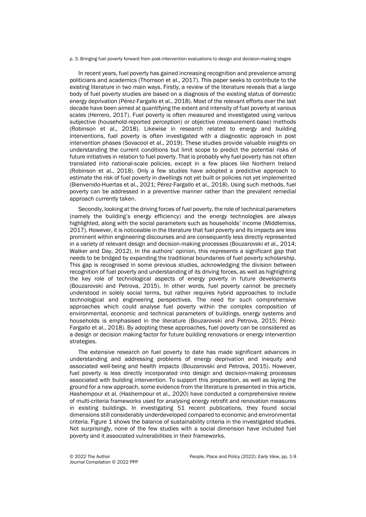#### p. 3. Bringing fuel poverty forward from post-intervention evaluations to design and decision-making stages

In recent years, fuel poverty has gained increasing recognition and prevalence among politicians and academics (Thomson et al., 2017). This paper seeks to contribute to the existing literature in two main ways. Firstly, a review of the literature reveals that a large body of fuel poverty studies are based on a diagnosis of the existing status of domestic energy deprivation (Pérez-Fargallo et al., 2018). Most of the relevant efforts over the last decade have been aimed at quantifying the extent and intensity of fuel poverty at various scales (Herrero, 2017). Fuel poverty is often measured and investigated using various subjective (household-reported perception) or objective (measurement-base) methods (Robinson et al., 2018). Likewise in research related to energy and building interventions, fuel poverty is often investigated with a diagnostic approach in post intervention phases (Sovacool et al., 2019). These studies provide valuable insights on understanding the current conditions but limit scope to predict the potential risks of future initiatives in relation to fuel poverty. That is probably why fuel poverty has not often translated into national-scale policies, except in a few places like Northern Ireland (Robinson et al., 2018). Only a few studies have adopted a predictive approach to estimate the risk of fuel poverty in dwellings not yet built or policies not yet implemented (Bienvenido-Huertas et al., 2021; Pérez-Fargallo et al., 2018). Using such methods, fuel poverty can be addressed in a preventive manner rather than the prevalent remedial approach currently taken.

Secondly, looking at the driving forces of fuel poverty, the role of technical parameters (namely the building's energy efficiency) and the energy technologies are always highlighted, along with the social parameters such as households' income (Middlemiss, 2017). However, it is noticeable in the literature that fuel poverty and its impacts are less prominent within engineering discourses and are consequently less directly represented in a variety of relevant design and decision-making processes (Bouzarovski et al., 2014; Walker and Day, 2012). In the authors' opinion, this represents a significant gap that needs to be bridged by expanding the traditional boundaries of fuel poverty scholarship. This gap is recognised in some previous studies, acknowledging the division between recognition of fuel poverty and understanding of its driving forces, as well as highlighting the key role of technological aspects of energy poverty in future developments (Bouzarovski and Petrova, 2015). In other words, fuel poverty cannot be precisely understood in solely social terms, but rather requires hybrid approaches to include technological and engineering perspectives. The need for such comprehensive approaches which could analyse fuel poverty within the complex composition of environmental, economic and technical parameters of buildings, energy systems and households is emphasised in the literature (Bouzarovski and Petrova, 2015; Pérez-Fargallo et al., 2018). By adopting these approaches, fuel poverty can be considered as a design or decision making factor for future building renovations or energy intervention strategies.

The extensive research on fuel poverty to date has made significant advances in understanding and addressing problems of energy deprivation and inequity and associated well-being and health impacts (Bouzarovski and Petrova, 2015). However, fuel poverty is less directly incorporated into design and decision-making processes associated with building intervention. To support this proposition, as well as laying the ground for a new approach, some evidence from the literature is presented in this article. Hashempour et al. (Hashempour et al., 2020) have conducted a comprehensive review of multi-criteria frameworks used for analysing energy retrofit and renovation measures in existing buildings. In investigating 51 recent publications, they found social dimensions still considerably underdeveloped compared to economic and environmental criteria. Figure 1 shows the balance of sustainability criteria in the investigated studies. Not surprisingly, none of the few studies with a social dimension have included fuel poverty and it associated vulnerabilities in their frameworks.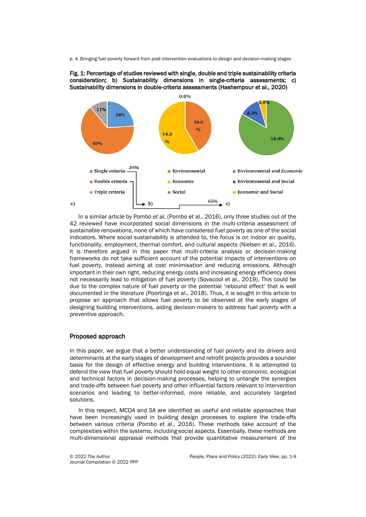p. 4. Bringing fuel poverty forward from post-intervention evaluations to design and decision-making stages





In a similar article by Pombo *et al.* (Pombo et al., 2016), only three studies out of the 42 reviewed have incorporated social dimensions in the multi-criteria assessment of sustainable renovations, none of which have considered fuel poverty as one of the social indicators. Where social sustainability is attended to, the focus is on indoor air quality, functionality, employment, thermal comfort, and cultural aspects (Nielsen et al., 2016). It is therefore argued in this paper that multi-criteria analysis or decision-making frameworks do not take sufficient account of the potential impacts of interventions on fuel poverty, instead aiming at cost minimisation and reducing emissions. Although important in their own right, reducing energy costs and increasing energy efficiency does not necessarily lead to mitigation of fuel poverty (Sovacool et al., 2019). This could be due to the complex nature of fuel poverty or the potential 'rebound effect' that is well documented in the literature (Poortinga et al., 2018). Thus, it is sought in this article to propose an approach that allows fuel poverty to be observed at the early stages of designing building interventions, aiding decision-makers to address fuel poverty with a preventive approach.

## Proposed approach

In this paper, we argue that a better understanding of fuel poverty and its drivers and determinants at the early stages of development and retrofit projects provides a sounder basis for the design of effective energy and building interventions. It is attempted to defend the view that fuel poverty should hold equal weight to other economic, ecological and technical factors in decision-making processes, helping to untangle the synergies and trade-offs between fuel poverty and other influential factors relevant to intervention scenarios and leading to better-informed, more reliable, and accurately targeted solutions.

In this respect, MCDA and SA are identified as useful and reliable approaches that have been increasingly used in building design processes to explore the trade-offs between various criteria (Pombo et al., 2016). These methods take account of the complexities within the systems, including social aspects. Essentially, these methods are multi-dimensional appraisal methods that provide quantitative measurement of the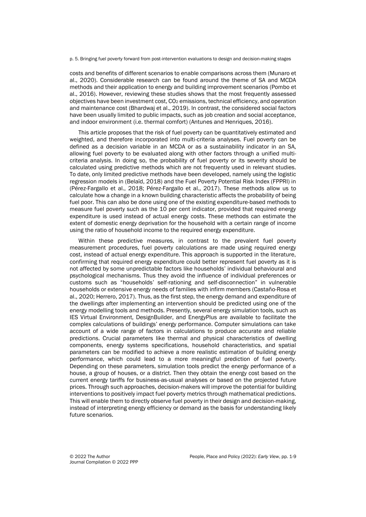p. 5. Bringing fuel poverty forward from post-intervention evaluations to design and decision-making stages

costs and benefits of different scenarios to enable comparisons across them (Munaro et al., 2020). Considerable research can be found around the theme of SA and MCDA methods and their application to energy and building improvement scenarios (Pombo et al., 2016). However, reviewing these studies shows that the most frequently assessed objectives have been investment cost,  $CO<sub>2</sub>$  emissions, technical efficiency, and operation and maintenance cost (Bhardwaj et al., 2019). In contrast, the considered social factors have been usually limited to public impacts, such as job creation and social acceptance, and indoor environment (i.e. thermal comfort) (Antunes and Henriques, 2016).

This article proposes that the risk of fuel poverty can be quantitatively estimated and weighted, and therefore incorporated into multi-criteria analyses. Fuel poverty can be defined as a decision variable in an MCDA or as a sustainability indicator in an SA, allowing fuel poverty to be evaluated along with other factors through a unified multicriteria analysis. In doing so, the probability of fuel poverty or its severity should be calculated using predictive methods which are not frequently used in relevant studies. To date, only limited predictive methods have been developed, namely using the logistic regression models in (Belaïd, 2018) and the Fuel Poverty Potential Risk Index (FPPRI) in (Pérez-Fargallo et al., 2018; Pérez-Fargallo et al., 2017). These methods allow us to calculate how a change in a known building characteristic affects the probability of being fuel poor. This can also be done using one of the existing expenditure-based methods to measure fuel poverty such as the 10 per cent indicator, provided that required energy expenditure is used instead of actual energy costs. These methods can estimate the extent of domestic energy deprivation for the household with a certain range of income using the ratio of household income to the required energy expenditure.

Within these predictive measures, in contrast to the prevalent fuel poverty measurement procedures, fuel poverty calculations are made using required energy cost, instead of actual energy expenditure. This approach is supported in the literature, confirming that required energy expenditure could better represent fuel poverty as it is not affected by some unpredictable factors like households' individual behavioural and psychological mechanisms. Thus they avoid the influence of individual preferences or customs such as "households' self-rationing and self-disconnection" in vulnerable households or extensive energy needs of families with infirm members (Castaño-Rosa et al., 2020; Herrero, 2017). Thus, as the first step, the energy demand and expenditure of the dwellings after implementing an intervention should be predicted using one of the energy modelling tools and methods. Presently, several energy simulation tools, such as IES Virtual Environment, DesignBuilder, and EnergyPlus are available to facilitate the complex calculations of buildings' energy performance. Computer simulations can take account of a wide range of factors in calculations to produce accurate and reliable predictions. Crucial parameters like thermal and physical characteristics of dwelling components, energy systems specifications, household characteristics, and spatial parameters can be modified to achieve a more realistic estimation of building energy performance, which could lead to a more meaningful prediction of fuel poverty. Depending on these parameters, simulation tools predict the energy performance of a house, a group of houses, or a district. Then they obtain the energy cost based on the current energy tariffs for business-as-usual analyses or based on the projected future prices. Through such approaches, decision-makers will improve the potential for building interventions to positively impact fuel poverty metrics through mathematical predictions. This will enable them to directly observe fuel poverty in their design and decision-making, instead of interpreting energy efficiency or demand as the basis for understanding likely future scenarios.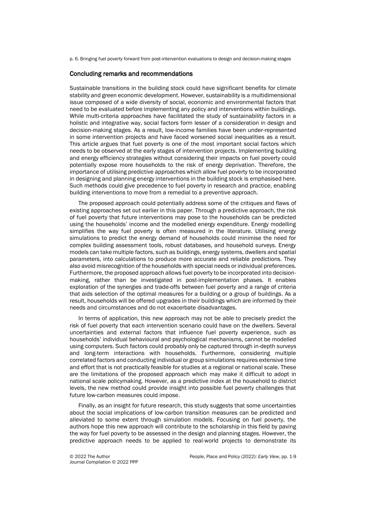p. 6. Bringing fuel poverty forward from post-intervention evaluations to design and decision-making stages

### Concluding remarks and recommendations

Sustainable transitions in the building stock could have significant benefits for climate stability and green economic development. However, sustainability is a multidimensional issue composed of a wide diversity of social, economic and environmental factors that need to be evaluated before implementing any policy and interventions within buildings. While multi-criteria approaches have facilitated the study of sustainability factors in a holistic and integrative way, social factors form lesser of a consideration in design and decision-making stages. As a result, low-income families have been under-represented in some intervention projects and have faced worsened social inequalities as a result. This article argues that fuel poverty is one of the most important social factors which needs to be observed at the early stages of intervention projects. Implementing building and energy efficiency strategies without considering their impacts on fuel poverty could potentially expose more households to the risk of energy deprivation. Therefore, the importance of utilising predictive approaches which allow fuel poverty to be incorporated in designing and planning energy interventions in the building stock is emphasised here. Such methods could give precedence to fuel poverty in research and practice, enabling building interventions to move from a remedial to a preventive approach.

The proposed approach could potentially address some of the critiques and flaws of existing approaches set out earlier in this paper. Through a predictive approach, the risk of fuel poverty that future interventions may pose to the households can be predicted using the households' income and the modelled energy expenditure. Energy modelling simplifies the way fuel poverty is often measured in the literature. Utilising energy simulations to predict the energy demand of households could minimise the need for complex building assessment tools, robust databases, and household surveys. Energy models can take multiple factors, such as buildings, energy systems, dwellers and spatial parameters, into calculations to produce more accurate and reliable predictions. They also avoid misrecognition of the households with special needs or individual preferences. Furthermore, the proposed approach allows fuel poverty to be incorporated into decisionmaking, rather than be investigated in post-implementation phases. It enables exploration of the synergies and trade-offs between fuel poverty and a range of criteria that aids selection of the optimal measures for a building or a group of buildings. As a result, households will be offered upgrades in their buildings which are informed by their needs and circumstances and do not exacerbate disadvantages.

In terms of application, this new approach may not be able to precisely predict the risk of fuel poverty that each intervention scenario could have on the dwellers. Several uncertainties and external factors that influence fuel poverty experience, such as households' individual behavioural and psychological mechanisms, cannot be modelled using computers. Such factors could probably only be captured through in-depth surveys and long-term interactions with households. Furthermore, considering multiple correlated factors and conducting individual or group simulations requires extensive time and effort that is not practically feasible for studies at a regional or national scale. These are the limitations of the proposed approach which may make it difficult to adopt in national scale policymaking. However, as a predictive index at the household to district levels, the new method could provide insight into possible fuel poverty challenges that future low-carbon measures could impose.

Finally, as an insight for future research, this study suggests that some uncertainties about the social implications of low-carbon transition measures can be predicted and alleviated to some extent through simulation models. Focusing on fuel poverty, the authors hope this new approach will contribute to the scholarship in this field by paving the way for fuel poverty to be assessed in the design and planning stages. However, the predictive approach needs to be applied to real-world projects to demonstrate its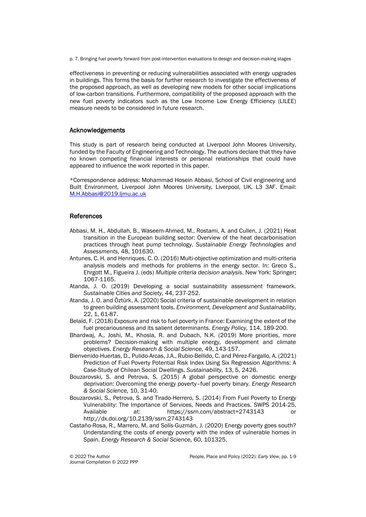p. 7. Bringing fuel poverty forward from post-intervention evaluations to design and decision-making stages

effectiveness in preventing or reducing vulnerabilities associated with energy upgrades in buildings. This forms the basis for further research to investigate the effectiveness of the proposed approach, as well as developing new models for other social implications of low-carbon transitions. Furthermore, compatibility of the proposed approach with the new fuel poverty indicators such as the Low Income Low Energy Efficiency (LILEE) measure needs to be considered in future research.

## Acknowledgements

This study is part of research being conducted at Liverpool John Moores University, funded by the Faculty of Engineering and Technology. The authors declare that they have no known competing financial interests or personal relationships that could have appeared to influence the work reported in this paper.

\*Correspondence address: Mohammad Hosein Abbasi, School of Civil engineering and Built Environment, Liverpool John Moores University, Liverpool, UK, L3 3AF. Email: [M.H.Abbasi@2019.ljmu.ac.uk](mailto:M.H.Abbasi@2019.ljmu.ac.uk)

## References

- Abbasi, M. H., Abdullah, B., Waseem-Ahmed, M., Rostami, A. and Cullen, J. (2021) Heat transition in the European building sector: Overview of the heat decarbonisation practices through heat pump technology. *Sustainable Energy Technologies and Assessments,* 48, 101630.
- Antunes, C. H. and Henriques, C. O. (2016) Multi-objective optimization and multi-criteria analysis models and methods for problems in the energy sector. In: Greco S., Ehrgott M., Figueira J. (eds) *Multiple criteria decision analysis*. New York: Springer: 1067-1165.
- Atanda, J. O. (2019) Developing a social sustainability assessment framework. *Sustainable Cities and Society,* 44, 237-252.
- Atanda, J. O. and Öztürk, A. (2020) Social criteria of sustainable development in relation to green building assessment tools. *Environment, Development and Sustainability,* 22, 1, 61-87.
- Belaïd, F. (2018) Exposure and risk to fuel poverty in France: Examining the extent of the fuel precariousness and its salient determinants. *Energy Policy,* 114, 189-200.
- Bhardwaj, A., Joshi, M., Khosla, R. and Dubach, N.K. (2019) More priorities, more problems? Decision-making with multiple energy, development and climate objectives. *Energy Research & Social Science,* 49, 143-157.
- Bienvenido-Huertas, D., Pulido-Arcas, J.A., Rubio-Bellido, C. and Pérez-Fargallo, A. (2021) Prediction of Fuel Poverty Potential Risk Index Using Six Regression Algorithms: A Case-Study of Chilean Social Dwellings. *Sustainability,* 13, 5, 2426.
- Bouzarovski, S. and Petrova, S. (2015) A global perspective on domestic energy deprivation: Overcoming the energy poverty–fuel poverty binary. *Energy Research & Social Science,* 10, 31-40.
- Bouzarovski, S., Petrova, S. and Tirado-Herrero, S. (2014) From Fuel Poverty to Energy Vulnerability: The Importance of Services, Needs and Practices. SWPS 2014-25, Available at: https://ssrn.com/abstract=2743143 or http://dx.doi.org/10.2139/ssrn.2743143
- Castaño-Rosa, R., Marrero, M. and Solís-Guzmán, J. (2020) Energy poverty goes south? Understanding the costs of energy poverty with the index of vulnerable homes in Spain. *Energy Research & Social Science,* 60, 101325.

Journal Compilation © 2022 PPP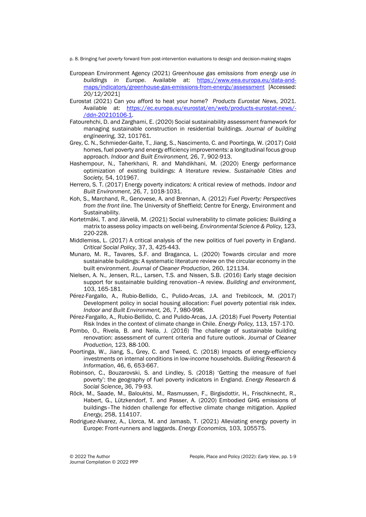p. 8. Bringing fuel poverty forward from post-intervention evaluations to design and decision-making stages

- European Environment Agency (2021) *Greenhouse gas emissions from energy use in buildings in Europe*. Available at: [https://www.eea.europa.eu/data-and](https://www.eea.europa.eu/data-and-maps/indicators/greenhouse-gas-emissions-from-energy/assessment)[maps/indicators/greenhouse-gas-emissions-from-energy/assessment](https://www.eea.europa.eu/data-and-maps/indicators/greenhouse-gas-emissions-from-energy/assessment) [Accessed: 20/12/2021]
- Eurostat (2021) Can you afford to heat your home? *Products Eurostat News*, 2021. Available at: [https://ec.europa.eu/eurostat/en/web/products-eurostat-news/-](https://ec.europa.eu/eurostat/en/web/products-eurostat-news/-/ddn-20210106-1) [/ddn-20210106-1.](https://ec.europa.eu/eurostat/en/web/products-eurostat-news/-/ddn-20210106-1)
- Fatourehchi, D. and Zarghami, E. (2020) Social sustainability assessment framework for managing sustainable construction in residential buildings. *Journal of building engineering,* 32, 101761.
- Grey, C. N., Schmieder-Gaite, T., Jiang, S., Nascimento, C. and Poortinga, W. (2017) Cold homes, fuel poverty and energy efficiency improvements: a longitudinal focus group approach. *Indoor and Built Environment,* 26, 7, 902-913.
- Hashempour, N., Taherkhani, R. and Mahdikhani, M. (2020) Energy performance optimization of existing buildings: A literature review. *Sustainable Cities and Society,* 54, 101967.
- Herrero, S. T. (2017) Energy poverty indicators: A critical review of methods. *Indoor and Built Environment*, 26, 7, 1018-1031.
- Koh, S., Marchand, R., Genovese, A. and Brennan, A. (2012) *Fuel Poverty: Perspectives from the front line.* The University of Sheffield; Centre for Energy, Environment and Sustainability.
- Kortetmäki, T. and Järvelä, M. (2021) Social vulnerability to climate policies: Building a matrix to assess policy impacts on well-being. *Environmental Science & Policy,* 123, 220-228.
- Middlemiss, L. (2017) A critical analysis of the new politics of fuel poverty in England. *Critical Social Policy*, 37, 3, 425-443.
- Munaro, M. R., Tavares, S.F. and Braganca, L. (2020) Towards circular and more sustainable buildings: A systematic literature review on the circular economy in the built environment. *Journal of Cleaner Production,* 260, 121134.
- Nielsen, A. N., Jensen, R.L., Larsen, T.S. and Nissen, S.B. (2016) Early stage decision support for sustainable building renovation–A review. *Building and environment,* 103, 165-181.
- Pérez-Fargallo, A., Rubio-Bellido, C., Pulido-Arcas, J.A. and Trebilcock, M. (2017) Development policy in social housing allocation: Fuel poverty potential risk index. *Indoor and Built Environment,* 26, 7, 980-998.
- Pérez-Fargallo, A., Rubio-Bellido, C. and Pulido-Arcas, J.A. (2018) Fuel Poverty Potential Risk Index in the context of climate change in Chile. *Energy Policy,* 113, 157-170.
- Pombo, O., Rivela, B. and Neila, J. (2016) The challenge of sustainable building renovation: assessment of current criteria and future outlook. *Journal of Cleaner Production,* 123, 88-100.
- Poortinga, W., Jiang, S., Grey, C. and Tweed, C. (2018) Impacts of energy-efficiency investments on internal conditions in low-income households. *Building Research & Information*, 46, 6, 653-667.
- Robinson, C., Bouzarovski, S. and Lindley, S. (2018) 'Getting the measure of fuel poverty': the geography of fuel poverty indicators in England. *Energy Research & Social Science*, 36, 79-93.
- Röck, M., Saade, M., Balouktsi, M., Rasmussen, F., Birgisdottir, H., Frischknecht, R., Habert, G., Lϋtzkendorf, T. and Passer, A. (2020) Embodied GHG emissions of buildings–The hidden challenge for effective climate change mitigation. *Applied Energy,* 258, 114107.
- Rodriguez-Alvarez, A., Llorca, M. and Jamasb, T. (2021) Alleviating energy poverty in Europe: Front-runners and laggards. *Energy Economics,* 103, 105575.